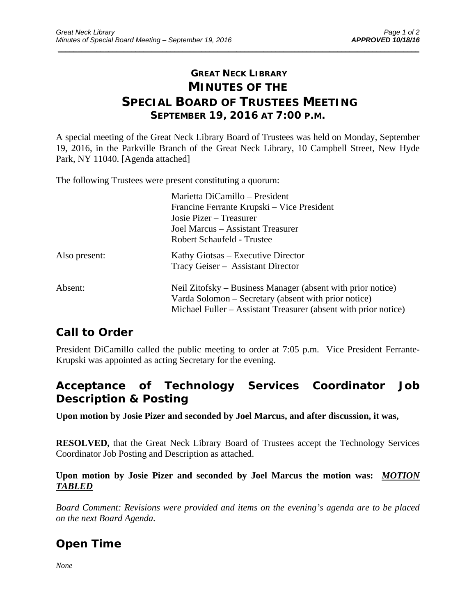### **GREAT NECK LIBRARY MINUTES OF THE SPECIAL BOARD OF TRUSTEES MEETING SEPTEMBER 19, 2016 AT 7:00 P.M.**

\_\_\_\_\_\_\_\_\_\_\_\_\_\_\_\_\_\_\_\_\_\_\_\_\_\_\_\_\_\_\_\_\_\_\_\_\_\_\_\_\_\_\_\_\_\_\_\_\_\_\_\_\_\_\_\_\_\_\_\_\_\_\_\_\_\_\_\_\_\_\_\_\_\_\_\_\_\_\_\_\_\_\_\_\_\_\_\_\_\_\_\_\_

A special meeting of the Great Neck Library Board of Trustees was held on Monday, September 19, 2016, in the Parkville Branch of the Great Neck Library, 10 Campbell Street, New Hyde Park, NY 11040. [Agenda attached]

The following Trustees were present constituting a quorum:

|               | Marietta DiCamillo - President                                  |
|---------------|-----------------------------------------------------------------|
|               | Francine Ferrante Krupski – Vice President                      |
|               | Josie Pizer – Treasurer                                         |
|               | Joel Marcus – Assistant Treasurer                               |
|               | Robert Schaufeld - Trustee                                      |
| Also present: | Kathy Giotsas – Executive Director                              |
|               | Tracy Geiser - Assistant Director                               |
| Absent:       | Neil Zitofsky – Business Manager (absent with prior notice)     |
|               | Varda Solomon – Secretary (absent with prior notice)            |
|               | Michael Fuller – Assistant Treasurer (absent with prior notice) |

### **Call to Order**

President DiCamillo called the public meeting to order at 7:05 p.m. Vice President Ferrante-Krupski was appointed as acting Secretary for the evening.

### **Acceptance of Technology Services Coordinator Job Description & Posting**

**Upon motion by Josie Pizer and seconded by Joel Marcus, and after discussion, it was,** 

**RESOLVED,** that the Great Neck Library Board of Trustees accept the Technology Services Coordinator Job Posting and Description as attached.

#### **Upon motion by Josie Pizer and seconded by Joel Marcus the motion was:** *MOTION TABLED*

*Board Comment: Revisions were provided and items on the evening's agenda are to be placed on the next Board Agenda.*

### **Open Time**

*None*